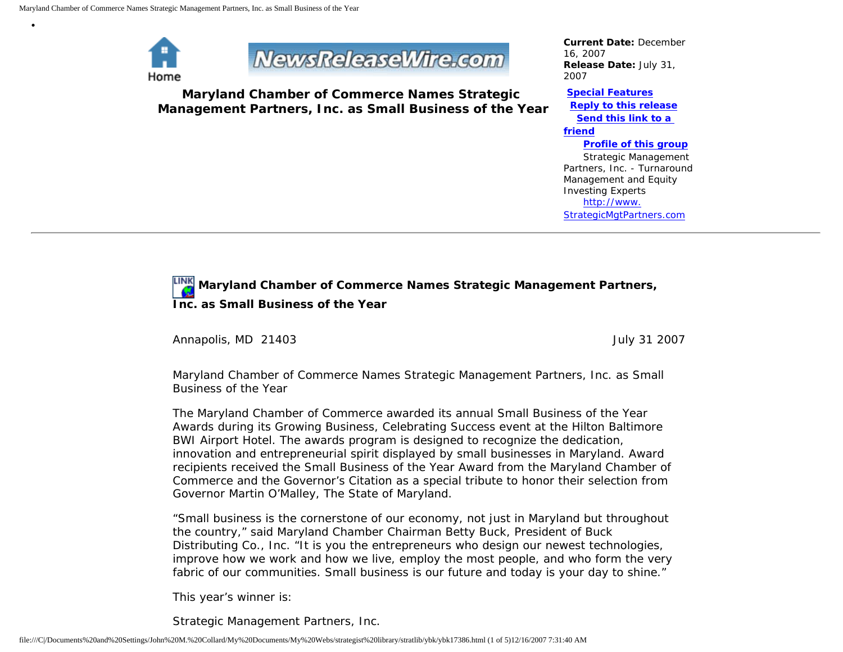

•

## **NewsReleaseWire.com**

**Maryland Chamber of Commerce Names Strategic Management Partners, Inc. as Small Business of the Year**

*Current Date:* December 16, 2007 *Release Date:* July 31, 2007

**[Special Features](javascript:openlittleme() [Reply to this release](file:///C|/Documents%20and%20Settings/John%20M.%20Collard/My%20Documents/My%20Webs/strategist%20library/stratlib/ybk/default.cfm?Action=ReplyRelease&Id=17386) [Send this link to a](file:///C|/Documents%20and%20Settings/John%20M.%20Collard/My%20Documents/My%20Webs/strategist%20library/stratlib/ybk/default.cfm?Action=SendLink&SendId=17386)  [friend](file:///C|/Documents%20and%20Settings/John%20M.%20Collard/My%20Documents/My%20Webs/strategist%20library/stratlib/ybk/default.cfm?Action=SendLink&SendId=17386) [Profile of this group](file:///C|/Documents%20and%20Settings/John%20M.%20Collard/My%20Documents/My%20Webs/strategist%20library/stratlib/ybk/default.cfm?Action=Profile&ProfileId=623)** Strategic Management

Partners, Inc. - Turnaround Management and Equity Investing Experts [http://www.](http://www.strategicmgtpartners.com/) [StrategicMgtPartners.com](http://www.strategicmgtpartners.com/)

## **Maryland Chamber of Commerce Names Strategic Management Partners, Inc. as Small Business of the Year**

Annapolis, MD 21403 **July 31 2007** 

Maryland Chamber of Commerce Names Strategic Management Partners, Inc. as Small Business of the Year

The Maryland Chamber of Commerce awarded its annual Small Business of the Year Awards during its Growing Business, Celebrating Success event at the Hilton Baltimore BWI Airport Hotel. The awards program is designed to recognize the dedication, innovation and entrepreneurial spirit displayed by small businesses in Maryland. Award recipients received the Small Business of the Year Award from the Maryland Chamber of Commerce and the Governor's Citation as a special tribute to honor their selection from Governor Martin O'Malley, The State of Maryland.

"Small business is the cornerstone of our economy, not just in Maryland but throughout the country," said Maryland Chamber Chairman Betty Buck, President of Buck Distributing Co., Inc. "It is you the entrepreneurs who design our newest technologies, improve how we work and how we live, employ the most people, and who form the very fabric of our communities. Small business is our future and today is your day to shine."

This year's winner is:

Strategic Management Partners, Inc.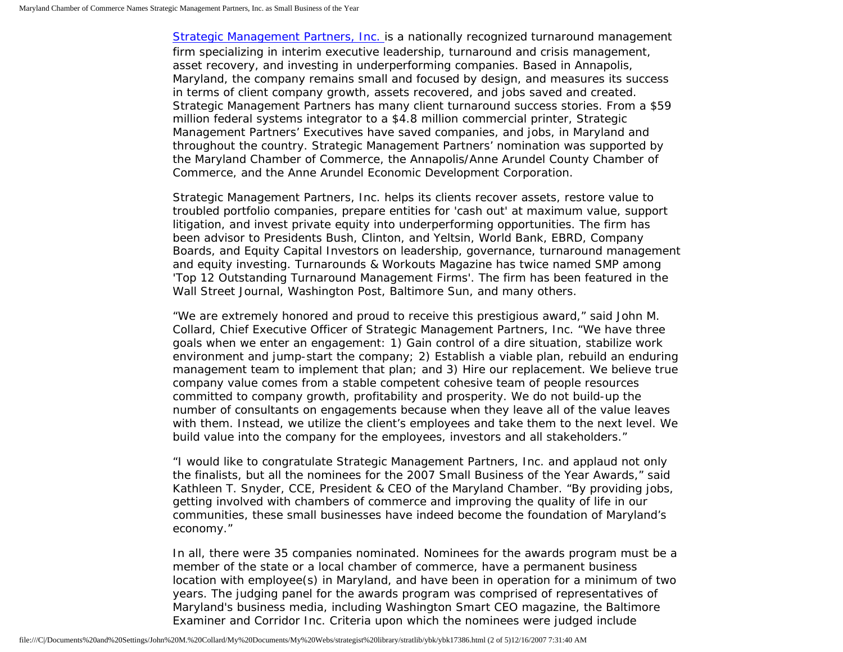[Strategic Management Partners, Inc.](http://www.strategicmgtpartners.com/) is a nationally recognized turnaround management firm specializing in interim executive leadership, turnaround and crisis management, asset recovery, and investing in underperforming companies. Based in Annapolis, Maryland, the company remains small and focused by design, and measures its success in terms of client company growth, assets recovered, and jobs saved and created. Strategic Management Partners has many client turnaround success stories. From a \$59 million federal systems integrator to a \$4.8 million commercial printer, Strategic Management Partners' Executives have saved companies, and jobs, in Maryland and throughout the country. Strategic Management Partners' nomination was supported by the Maryland Chamber of Commerce, the Annapolis/Anne Arundel County Chamber of Commerce, and the Anne Arundel Economic Development Corporation.

Strategic Management Partners, Inc. helps its clients recover assets, restore value to troubled portfolio companies, prepare entities for 'cash out' at maximum value, support litigation, and invest private equity into underperforming opportunities. The firm has been advisor to Presidents Bush, Clinton, and Yeltsin, World Bank, EBRD, Company Boards, and Equity Capital Investors on leadership, governance, turnaround management and equity investing. Turnarounds & Workouts Magazine has twice named SMP among 'Top 12 Outstanding Turnaround Management Firms'. The firm has been featured in the Wall Street Journal, Washington Post, Baltimore Sun, and many others.

"We are extremely honored and proud to receive this prestigious award," said John M. Collard, Chief Executive Officer of Strategic Management Partners, Inc. "We have three goals when we enter an engagement: 1) Gain control of a dire situation, stabilize work environment and jump-start the company; 2) Establish a viable plan, rebuild an enduring management team to implement that plan; and 3) Hire our replacement. We believe true company value comes from a stable competent cohesive team of people resources committed to company growth, profitability and prosperity. We do not build-up the number of consultants on engagements because when they leave all of the value leaves with them. Instead, we utilize the client's employees and take them to the next level. We build value into the company for the employees, investors and all stakeholders."

"I would like to congratulate Strategic Management Partners, Inc. and applaud not only the finalists, but all the nominees for the 2007 Small Business of the Year Awards," said Kathleen T. Snyder, CCE, President & CEO of the Maryland Chamber. "By providing jobs, getting involved with chambers of commerce and improving the quality of life in our communities, these small businesses have indeed become the foundation of Maryland's economy."

In all, there were 35 companies nominated. Nominees for the awards program must be a member of the state or a local chamber of commerce, have a permanent business location with employee(s) in Maryland, and have been in operation for a minimum of two years. The judging panel for the awards program was comprised of representatives of Maryland's business media, including Washington Smart CEO magazine, the Baltimore Examiner and Corridor Inc. Criteria upon which the nominees were judged include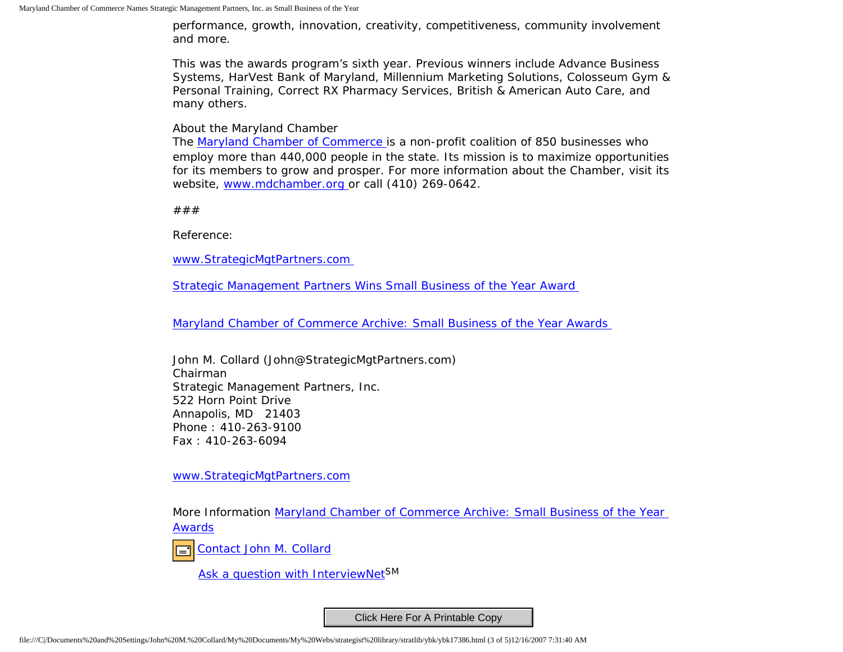performance, growth, innovation, creativity, competitiveness, community involvement and more.

This was the awards program's sixth year. Previous winners include Advance Business Systems, HarVest Bank of Maryland, Millennium Marketing Solutions, Colosseum Gym & Personal Training, Correct RX Pharmacy Services, British & American Auto Care, and many others.

About the Maryland Chamber

The [Maryland Chamber of Commerce](http://www.mdchamber.org/) is a non-profit coalition of 850 businesses who employ more than 440,000 people in the state. Its mission is to maximize opportunities for its members to grow and prosper. For more information about the Chamber, visit its website, [www.mdchamber.org](http://www.mdchamber.org/) or call (410) 269-0642.

###

Reference:

[www.StrategicMgtPartners.com](http://www.strategicmgtpartners.com/)

[Strategic Management Partners Wins Small Business of the Year Award](http://members.aol.com/Stratlib3/mccsbyr.html)

[Maryland Chamber of Commerce Archive: Small Business of the Year Awards](http://www.mdchamber.org/news/07sboty.asp)

John M. Collard (John@StrategicMgtPartners.com) Chairman Strategic Management Partners, Inc. 522 Horn Point Drive Annapolis, MD 21403 Phone : 410-263-9100 Fax : 410-263-6094

[www.StrategicMgtPartners.com](http://www.strategicmgtpartners.com/)

More Information [Maryland Chamber of Commerce Archive: Small Business of the Year](http://www.mdchamber.org/news/07sboty.asp) [Awards](http://www.mdchamber.org/news/07sboty.asp)

[Contact John M. Collard](http://www.expertclick.com/expertClick/contact/default.cfm?Action=ContactExpert&GroupID=1016)

[Ask a question with InterviewNetS](http://www.expertclick.com/expertClick/contact/default.cfm?GroupID=1016)M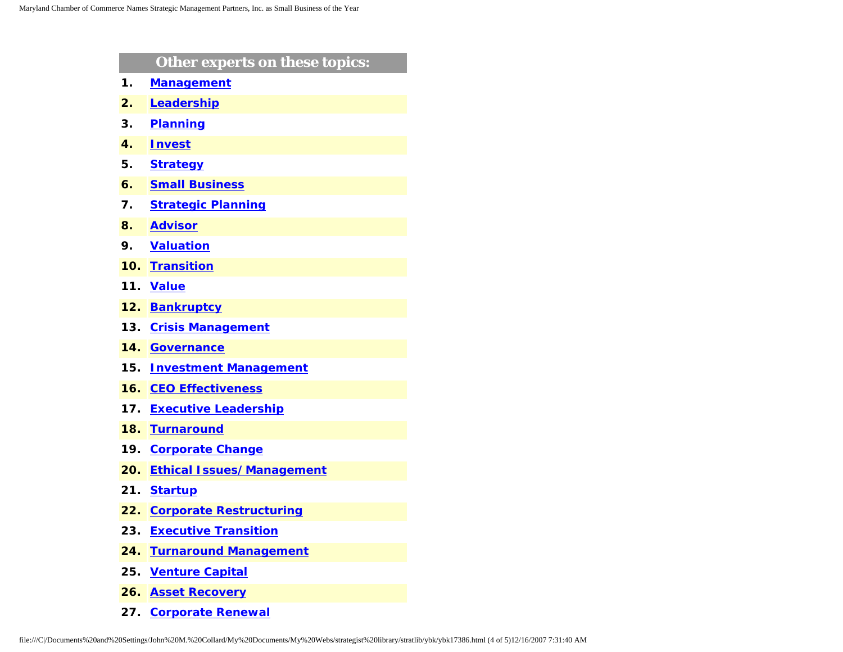|     | Other experts on these topics:   |
|-----|----------------------------------|
| 1.  | <b>Management</b>                |
| 2.  | Leadership                       |
| З.  | <b>Planning</b>                  |
| 4.  | <b>Invest</b>                    |
| 5.  | <b>Strategy</b>                  |
| 6.  | <b>Small Business</b>            |
| 7.  | <b>Strategic Planning</b>        |
| 8.  | <b>Advisor</b>                   |
| 9.  | <b>Valuation</b>                 |
| 10. | <b>Transition</b>                |
| 11. | <b>Value</b>                     |
| 12. | <b>Bankruptcy</b>                |
| 13. | <b>Crisis Management</b>         |
| 14. | <b>Governance</b>                |
| 15. | <b>Investment Management</b>     |
| 16. | <b>CEO Effectiveness</b>         |
| 17. | <b>Executive Leadership</b>      |
| 18. | <b>Turnaround</b>                |
| 19. | <b>Corporate Change</b>          |
| 20. | <b>Ethical Issues/Management</b> |
| 21. | <b>Startup</b>                   |
| 22. | <b>Corporate Restructuring</b>   |
| 23. | <b>Executive Transition</b>      |
| 24. | <b>Turnaround Management</b>     |
| 25. | <b>Venture Capital</b>           |
| 26. | <b>Asset Recovery</b>            |

**27. [Corporate Renewal](http://www.expertclick.com/search/default.cfm?SearchCriteria=Corporate Renewal)**